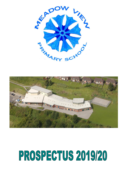



# PROSPECTUS 2019/20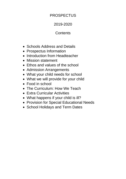## **PROSPECTUS**

## 2019-2020

## **Contents**

- Schools Address and Details
- Prospectus Information
- Introduction from Headteacher
- Mission statement
- Ethos and values of the school
- Admission Arrangements
- What your child needs for school
- What we will provide for your child
- Food in school
- The Curriculum: How We Teach
- Extra Curricular Activities
- What happens if your child is ill?
- Provision for Special Educational Needs
- School Holidays and Term Dates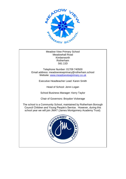

Meadow View Primary School Meadowhall Road Kimberworth Rotherham S61 2JD

Telephone Number: 01709 740500 Email address: meadowviewprimary@rotherham.school Website: [www.meadowviewprimary.co.uk](http://www.meadowviewprimary.co.uk/)

Executive Headteacher Lead: Karen Smith

Head of School: Jenni Logan

School Business Manager: Kerry Taylor

Chair of Governors: Broydon Vickerage

The school is a Community School, maintained by Rotherham Borough Council Children and Young People's Service. However, during this school year we will join JMAT (James Montgomery Academy Trust).

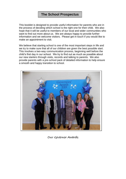## **The School Prospectus**

This booklet is designed to provide useful information for parents who are in the process of deciding which school is the right one for their child. We also hope that it will be useful to members of our local and wider communities who want to find out more about us. We are always happy to provide further information and we welcome visitors. Please get in touch if you would like to make an appointment to visit.

We believe that starting school is one of the most important steps in life and we try to make sure that all of our children are given the best possible start. This involves a two-way communication process, beginning well before the child's first day in our school. We try to find out as much as possible about our new starters through visits, records and talking to parents. We also provide parents with a pre-school pack of detailed information to help ensure a smooth and happy transition to school.



Our Governor Awards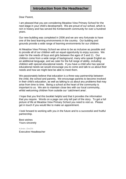Dear Parent,

I am pleased that you are considering Meadow View Primary School for the next stage in your child's development. We are proud of our school, which is rich in history and has served the Kimberworth community for over a hundred years.

Our new building was completed in 2006 and we are very fortunate to have one of the best learning environments in the country. Our building and grounds provide a wide range of learning environments for our children.

At Meadow View Primary School we strive to be as inclusive as possible and to provide all of our children with an equal opportunity to enjoy success. We cater for the needs of boys and girls between the ages of 3 and 11. Our children come from a wide range of background, many who speak English as an additional language, and we cater for the full range of ability, including children with special educational needs. If you have a child who has special educational needs we would encourage you to come and talk to us about their needs and how we might best be able to meet them.

We passionately believe that education is a three-way partnership between the child, the school and parents. We encourage parents to become involved in their child's education, as well as talking to us about any problems that may arise from time to time. Being a school at the heart of the community is important to us. We aim to maintain close ties with our local community, whilst welcoming children from outside our 'catchment area'.

I hope that you find this booklet helpful and that it provides the information that you require. Words on a page can only tell part of the story. To get a full picture of life at Meadow View Primary School you need to visit us. Please get in touch if you would like to make an appointment.

I look forward to working with you in the future and to a successful and fruitful partnership.

Best wishes Yours sincerely

Karen Smith Executive Headteacher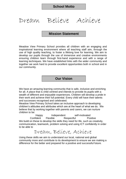## Dream Believe Achieve

## **Mission Statement**

Meadow View Primary School provides all children with an engaging and inspirational learning environment where all teaching staff aim, through the use of high quality teaching, to foster a lifelong love for learning. We aim to develop our pupils through the use of immersive and creative environments ensuring children learn through first-hand experience and with a range of learning techniques. We have established links with the wider community and together we work hard to provide excellent opportunities both in school and in our community.

**Our Vision**

We have an amazing learning community that is safe, inclusive and enriching for all. A place that is child centred and intends to provide its pupils with a wealth of different and enjoyable experiences. Children will develop a pride in their work and achieve their full potential. Every child will have their talents and successes recognised and celebrated.

Meadow View Primary School takes an inclusive approach to developing children's attitudes and attributes which are at the heart of what we do. We believe that by working together with parents and carers, we can nurture children to be:

Happy Independent self-motivated Confident Flexible Respectful Positive We build on these to develop the skills they need for life, such as creativity, communication, teamwork, problem solving and using ICT confidently in order to be able to

## Dream, Believe, Achieve

Using these skills we aim to understand our local, national and global community more and contribute to its development to ensure we are making a difference for the better and prepared for a positive and successful future.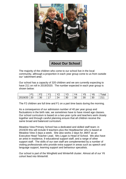

**About Our School**

The majority of the children who come to our school live in the local community, although a proportion in each year group come to us from outside our 'catchment area'.

Our school has a capacity of 320 children and we are currently expecting to have 211 on roll in 2019/2020. The number expected in each year group is shown below:

|         | $ \cdot$  | r.<br>- | v. | $\sqrt{2}$       | $\vee$<br>ں ا | $\Delta$<br>v | VĘ<br>ັ | Y6 | <sup>'</sup> otal |
|---------|-----------|---------|----|------------------|---------------|---------------|---------|----|-------------------|
| 2019/20 | ንበ<br>ZV. | 30      | -  | 24<br><u>.</u> . | 30            | 30            | 30      | 30 | 21                |

The F2 children are full time and F1 on a part time basis during the morning.

As a consequence of our admission number of 40 per year group and fluctuations in the birth rate, we sometimes have to have mixed age classes. Our school curriculum is based on a two-year cycle and teachers work closely together and through careful planning ensure that all children receive the same broad and balanced curriculum.

Meadow View Primary School has a dedicated and skilled staff team; in 2019/20 this will include 9 teachers plus the Headteacher who is based at Meadow View 3 days a week. She also works 2 days for JMAT as an Executive Head Teacher Lead. Mrs Logan is Head of School. We also have an artist in residence, 9 educational support staff, and a range of other support staff. The skills of our own staff are complemented by a number of visiting professionals who provide extra support in areas such as speech and language support, learning support and behaviour specalists.

Our school is part of the Wingfield and Winterhill cluster. Almost all of our Y6 cohort feed into Winterhill.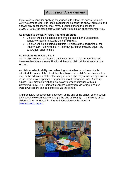## **Admission Arrangement**

If you wish to consider applying for your child to attend the school, you are very welcome to visit. The Head Teacher will be happy to show you round and answer any questions you may have. If you telephone the school on 01709 740500, the office staff will be happy to make an appointment for you.

#### **Admission to the Early Years Foundation Stage**

- Children will be allocated a part time F1 place in the September, January or Easter following their 3<sup>rd</sup> birthday.
- Children will be allocated a full time F2 place at the beginning of the Autumn term following their 4th birthday (Children must be aged 4 by 31st August prior to this.)

#### **Admissions from years 1 to 6**

Our intake limit is 40 children for each year group. If that number has not been reached there is every likelihood that your child will be admitted to the school.

A child's academic ability has no bearing on whether or not he or she is admitted. However, if the Head Teacher thinks that a child's needs cannot be met, or the education of the others might suffer, she may refuse an application in the interests of all parties. The parents should then take Local Authority advice. You may also wish to discuss any number of issues with our Governing Body. Our Chair of Governors is Broydon Vickerage, and our Parent Governors can be contacted via the school.

Children leave for secondary education at the end of the school year in which they become eleven years of age (ie the end of Year 6). The majority of our children go on to Winterhill , further information can be found at [www.winterhill.org.uk](http://www.winterhill.org.uk/)

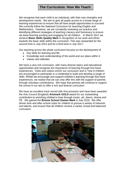## **The Curriculum: How We Teach**

We recognise that each child is an individual, with their own strengths and development needs. We aim to give all pupils access to a broad range of learning experiences to ensure that all have ample opportunities to succeed. We currently follow the National Curriculum for teaching English and Mathematics. However, we are constantly reviewing our practice and identifying different strategies of teaching Literacy and Numeracy to ensure we keep learning exciting and engaging for all children. In March 2011 we achieve **Basic Skills Quality Mark** in recognition of our work and ethos towards the basic skills within the curriculum. This was reawarded for the second time in July 2014 and for a third time in July 2017.

Our teaching across the whole curriculum focuses on the development of

- Key skills for learning and life
- Knowledge and understanding of the world and our place within it
- Values and attitudes

We have a very rich curriculum, with many diverse topics and educational opportunities and recognise the importance of learning through first hand experiences. Visits and visitors enrich our curriculum and in Year 6 children are encouraged to participate in a residential to build and develop a range of skills. Whilst we encourage and support children's learning through first hand experiences, we realise that we can only offer this with the support of parents through voluntary contributions. We hope that parents will continue to support the school in our aim to offer a rich and diverse curriculum.

We have an excellent track record with Arts provision and have been awarded the Arts Council (England) **Artsmark GOLD** award for our outstanding contribution to enriching children's lives through music, art, dance, drama and PE. We gained the **Bronze School Games Mark** in July 2019. We offer dinner time and after-school clubs for children to pursue a variety of interests and talents, and ensure that all children receive a varied, broad and balanced curriculum.

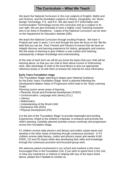## **The Curriculum – What We Teach**

We teach the National Curriculum in the core subjects of English, Maths and and Science, and the foundation subjects of History, Geography, Art, Music, Design Technology, P.E. and R.E. We also teach ICT (Information and Communication Technology) across the curriculum and as a subject in its own right. We are also fortunate to have a Higher Level Teaching Assistant who is an Artist in Residence. Copies of the National Curriculum can be seen on the Department for Education website (DfE).

We teach the National Curriculum through exciting Projects. We have 4 Projects per year in years 1 to 6 and through the year we focus on the 'Be the best that you can be', Past, Present and Passion to ensure that we have an indepth discover and learning experience for history, geography and science. We link areas of learning to give children a real context and meaning, subsequently a deeper knowledge and understanding.

At the start of each term we will let you know the topics that your child will be learning about, so that you can chat to them about current or forthcoming work, take advantage of visits to the local library to pick out appropriate reference books or sit with them to browse the Internet for extra information.

#### **Early Years Foundation stage**

The 'Foundation Stage' planning is based upon National Guidance for the Early Years Foundation Stage. Work is planned following the Development Matters Steps of Progression which lead to the 'Early Learning Goals'.

Planning covers seven areas of learning,

- Personal, Social and Emotional Development (PSED)
- Communication, Language and Literacy (CLL)
- Literacy
- Mathematics
- Understanding of the World (UW)
- Expressive Arts (EAD)
- Physical Development (PD)

It is the aim of the 'Foundation Stage' to provide meaningful and exciting Experiences, linked to the children's interests, to enhance and promote the child's learning. Carefully planned activities ensure continuity and progression across the Foundation Stage.

F1 children receive daily phonics and literacy and maths carpet inputs and develop in the other areas of learning through continuous provision. In F2 children receive daily literacy, maths and phonics inputs and weekly KUW, PSED, CD and PD inputs whilst also developing their skills and knowledge through the continuous provision and focussed group work.

We welcome parent involvement in our school and nowhere is this more encouraged than in the Foundation Unit. If you wish to spend time in the Unit, or have any experience or interest in helping with any of the topics listed above, please don't hesitate to contact us.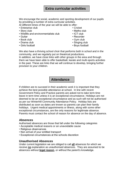## **Extra curricular activities**

We encourage the social, academic and sporting development of our pupils by providing a number of extra curricular activities.

At different times of the year we will be able to offer:

- Enterprise club Cricket
- 
- Wildlife and environmentalists club ICT club
- 
- Book club Gym club
- 
- Girls football  **Boys football**
- 
- Story club Maths club
	-
- Guitar **Guitar Recorder** 
	-
- Drama club Singing club
	-

We also have a thriving school choir that performs both in school and in the community, and we regularly put on theatrical productions.

In addition, we have close links with other groups in the area and through them we have been able to offer basketball, karate and multi-sports activities in the past. These are links that we will continue to develop, bringing further provision to your children.

## **Attendance**

If children are to succeed in their academic work it is important that they achieve the best possible attendance at school. In line with recent Government Policy and Practice parents are asked not to take term time leave in term time unless it is an exceptional circumstance. Holidays are not deemed to be an exceptional circumstance and as such will not be authorised as per our Winterhill Community Attendance Policy. Holiday lists are distributed as soon as dates are known so parents can plan their family holidays. Urgent medical appointments or illness, along with some other exceptional circumstances, are the only reasons for legitimate absence. Parents must contact the school of reason for absence on the day of absence.

### **Absences**

Authorised absences are those that fall under the following categories

- Acceptable medical reasons or an unavoidable cause
- Religious observances
- Non arrival of your entitled transport
- Exceptional circumstances at the schools discretion

#### **Unauthorised Absences**

Under current legislation we are obliged to call **all** absences for which we receive **no** explanation as unauthorised absences. They are assumed to be absences without **legal reason**, or without the parent's knowledge.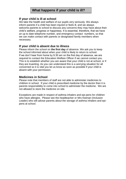## **If your child is ill at school**

We take the health and welfare of our pupils very seriously. We always inform parents if a child has been injured or feels ill, and we always welcome parents to school to discuss any concerns they may have about their child's welfare, progress or happiness. It is essential, therefore, that we have an up to date telephone number, and emergency contact numbers, so that we can make contact with parents or designated family members when necessary.

## **If your child is absent due to illness**

Please inform the school on **the first day** of absence. We ask you to keep the school informed about when your child is likely to return to school. If we don't hear from home by 9.30 am on the first day of absence, we are required to contact the Education Welfare Officer if we cannot contact you. This is to establish whether you are aware that your child is not at school, or if they are truanting. As you can understand this is a worrying situation for all concerned so it is vital you let us know as soon as possible if your child is absent with your permission.

## **Medicines in School**

Please note that members of staff are not able to administer medicines to children in school. If your child is prescribed medicine by the doctor then it is parents responsibility to come into school to administer the medicine. We are not allowed to store the medicine on site.

Exceptions are made in respect of asthma inhalers and epi-pens for children who have allergies. Please see the headteacher or Mrs Keenan (Inclusion Leader) who will advise parents about the storage of asthma inhalers and epipens at school.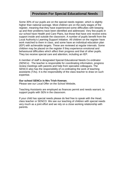## **Provision For Special Educational Needs**

Some 30% of our pupils are on the special needs register, which is slightly higher than national average. Most children are on the early stages of the register, meaning that they have experienced some difficulties with keeping up and their problems have been identified and addressed. Very few pupils in our school have Health and Care Plans, but those that have one receive extra support inside and outside the classroom. A number of pupils benefit from the Local Authority's Learning Support Initiative. All children on the register have work matched to them in class, and some have an individual education plan (IEP) with achievable targets. These are reviewed at regular intervals. Some children may be placed on the register if they experience emotional and behavioural difficulties which affect their progress and that of other pupils. They too receive special care and attention, including an IEP.

A member of staff is designated Special Educational Needs Co-ordinator (SENCo) . The teacher is responsible for coordinating information, progress review meetings with parents and help from specialist colleagues. The SENCO also has the responsibility of co-ordinating the work of teaching assistants (TAs). It is the responsibility of the class teacher to draw on such expertise.

#### **Our school SENCo is Mrs Trish Keenan.**

Please see our Local Offer on the School Website,

Teaching Assistants are employed as finances permit and needs warrant, to support pupils with SEN in the classroom.

If your child has special needs please do feel free to speak with the Head, class teacher or SENCO. We see our teaching of children with special needs very much as a joint effort and we rely on a close working relationship with parents.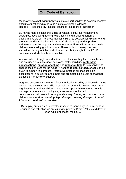## **Our Code of Behaviour**

Meadow View's behaviour policy aims to support children to develop effective executive functioning skills to be able to exhibit the following: Respect Responsibility Resourcefulness Resilience Reflection

By having high expectations, using consistent behaviour management strategies, developing trusting relationships and providing nurturing environments we aim to encourage all children to develop self-discipline and promote good learning behaviours. Staff should use **positive praise**, **cultivate aspirational goals** and model **unconditional kindness** to guide children into making good decisions. These skills will be explored and embedded throughout the curriculum and explicitly taught in the PSHE curriculum and whole school assemblies.

When children struggle to understand the situations they find themselves in and are unable to make good decisions, staff should use **restorative conversations**, **emotion coaching** and **reflection time** to help children to change their choices for the future. If needed **logical consequences** can be given to support this process. Restorative practice emphasises high expectations in ourselves and others and promotes high levels of challenge alongside high levels of support.

Negative behaviour is a means of communication used by children when they do not have the executive skills to be able to communicate their needs in a regulated way. At times children need more support than others to be able to manage large emotions, modify negative patterns of behaviour or communicate their needs in an appropriate way. Strategies to support these children are *emotion coaching*, *lego therapy*, *drawing therapy*, *circle of friends* and *restorative practise.* 

By helping our children to develop respect, responsibility, resourcefulness, resilience and reflection we are aiming to promote British Values and develop good adult citizens for the future.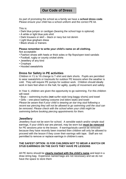## **Our Code of Dress**

As part of promoting the school as a family we have a **school dress code**. Please ensure your child has a school uniform and the correct PE kit.

This is:

- Dark blue jumper or cardigan (bearing the school logo is optional)
- A white or light blue polo shirt
- Dark trousers or skirt black or navy but not denim
- Light blue gingham dress
- Black shoes or trainers

#### **Please remember to write your child's name on all clothing.**

Not acceptable:

- Fashion shoes with heels or thick soles or flip flops/open toed sandals
- Football, rugby or county cricket shirts
- Jewellery of any kind
- Croptops
- Hooded sweatshirts

## **Dress for Safety in PE activities**

Children in Y1 to Y6 change to T-shirt and dark shorts. Pupils are permitted to wear sweatshirts or tracksuits for outdoor PE lessons when the weather is cold. They will require PE pumps for outdoor work. Children should ideally work in bare feet when in the hall, for agility, quality of movement and safety.

In Year 4, children are given the opportunity to go swimming. For this children will need:

- Boys swimming trunks (**not** surfer-style long baggy shorts) and towel
- Girls one-piece bathing costume (not bikini-style) and towel

*Please be aware that if your child is wearing an ear-ring stud following a recent ear piercing they will not be allowed to go swimming until the stud can be removed. Please check with the school when your child might be swimming before booking piercing appointments for them.*

#### **Jewellery**

Jewellery must not be worn for school. A sensible watch and/or simple stud earrings, if your child's ear are pierced, may be worn but **must be removed** for PE sessions prior to the lesson. If earrings/studs cannot be removed because they have recently been inserted then children will only be allowed to proceed with the lesson if they cover their earrings with tape. Staff are not permitted to remove or replace earrings in children's ears.

#### **THE SAFEST OPTION IS FOR CHILDREN NOT TO WEAR A WATCH OR STUD EARRINGS ON THE DAYS THEY HAVE PE LESSONS**

All PE items should be **clearly marked with the child's name** and kept in a draw string bag. Expensive named bags are not necessary and we do not have the space to store them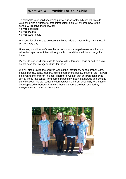## **What We Will Provide For Your Child**

To celebrate your child becoming part of our school family we will provide your child with a number of free introductory gifts! All children new to the school will receive the following:

- a **free** book bag
- a **free** PE bag
- a **free** water bottle

We consider all these to be essential items. Please ensure they have these in school every day.

However, should any of these items be lost or damaged we expect that you will order replacement items through school, and there will be a charge for these.

Please do not send your child to school with alternative bags or bottles as we do not have the storage facilities for these.

We will also provide the children with all their stationery needs. Paper, card, books, pencils, pens, rubbers, rulers, sharpeners, paints, crayons, etc – all will be given to the children in class. Therefore, we ask that children don't bring similar items into school from home, particularly not in glamorous and exciting pencil cases! This can cause friction between children, especially when items get misplaced or borrowed, and so these situations are best avoided by everyone using the school equipment.

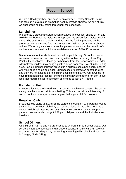## **Food in School**

We are a Healthy School and have been awarded Healthy Schools Status and take an active role in promoting healthy lifestyle choices. As part of this we encourage healthy eating throughout the school day.

### **Lunchtimes**

We operate a cafeteria system which provides an excellent choice of hot and cold dishes. Parents are welcome to approach the school for a typical week's menu. The cuisine is of a high standard, and the food is prepared on the premises. We are indeed fortunate to have Mrs. Gilling, our Cook in Charge, with us. We strongly advise prospective parents to consider the benefits of a nutritious school meal, which are available at a cost of £10.50 per week.

Dinner money for the whole week should be paid through School Money as we are a cashless school. You can pay either online or through local Pay Point in the local area. Please get a barcode from the school office if needed. Alternatively children may bring a packed lunch from home to eat in the dining area. Packed lunches must be brought in a suitable container clearly labelled with your child's name and class. Lunchboxes are stored on central racking and they are not accessible to children until dinner time. We regret we do not have refrigeration facilities for lunchboxes and advise that children don't have food that requires strict refrigeration or is close to 'Eat By…' dates.

## **Foundation Unit**

In Foundation you are invited to contribute 50p each week towards the cost of eating healthy snacks, drinks and baking. This is to be paid each Monday. A record book and money container is provided in your child's classroom.

## **Breakfast Club**

Breakfast club starts at 8.00 until the start of school at 8.40. If parents require the service of breakfast club they can book a place via the office. We are a not for profit breakfast club and only charge to cover our costs to support parents. We currently charge **£2.00** per child per day and this includes their breakfast.

## **School Dinners**

All children in F2, Y1 and Y2 are entitled to Universal Free School Meals. Our school dinners are nutritious and provide a balanced healthy menu. We can accommodate for allergies by requesting a meeting with school and our Cook in Charge, Cindy Gilling.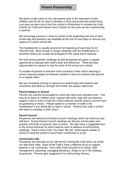## **Parent Partnership**

We place a high value on the role parents play in the education of their children and we do our best to develop a close and productive partnership. Last year we were one of the first school in Rotherham in achieve the Gold Charter for Child and Parent Voice Charter for the work we do in partnership in parents.

We encourage parents to come to school at the beginning and end of each school day and teachers are available at the end of most days to discuss any aspect of a child's school life.

The headteacher is usually around at the beginning of each day for an informal chat. More private or longer meetings with the headteacher or assistant heads can usually be arranged for the same day if required.

We hold termly parents' meetings so that all parents are given a regular opportunity to discuss their child's work and behaviour. There are also opportunities for parents to see the work of the school as a whole.

To enable all parents to become more involved in their child's learning in school, learning targets are themes studied in class are shared with parents on a regular basis.

We are constantly striving to improve our partnership with parents and comments and ideas to strength this further are always welcomed.

#### **Parent Helpers in School**

Parents are actively encouraged to come into class and volunteer time. This may be to listen to children read, support with work, help with art sessions, support visits or even to help the school improve specific areas in school such as gardening or library. Please speak to a member of staff or the headteacher if you would like to help in school. Parents who help in school will need to complete a DBS check.

#### **Parent Council**

All parents are welcome at Parent Council meetings which we hold once per half term. During Parent Council meetings we discuss school policy and practice and listen to parents view on these. We also have a suggestion box in the school entrance for items parents want to address at forthcoming meetings. Have a look at the 'You Said, We did' notice board outside of school of what the parent Council have contributed to so far.

#### **Community Cafe**

All parents are welcome at our half termly Community Café which we jointly run with Early Help. Each of the Café's have a different focus to support parents in our community. Past cafes have focused on E-safety, debt management, parenting, managing behaviour, things to do in the holidays, housing etc. Parents give suggestions for forthcoming themes.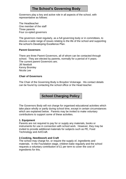## **The School's Governing Body**

Governors play a key and active role in all aspects of the school, with representative as follows:

The Headteacher One member of the staff Three parents Four co-opted governors

The governors meet regularly, as a full governing body or in committees, to discuss a wide range of issues relating to the life of the school and supporting the school's Developing Excellence Plan.

#### **Parent Governors**

There are three Parent Governors, all of whom can be contacted through school. They are elected by parents, normally for a period of 4 years. The current parent Governors are; Jill Newbolt Kenny Bromley Nicola Lee

#### **Chair of Governors**

The Chair of the Governing Body is Broydon Vickerage. His contact details can be found by contacting the school office or the Head teacher.

## **School Charging Policy**

The Governors Body will not charge for organised educational activities which take place wholly or partly during school time, except in certain circumstances which are explained below. Parents may be invited to make voluntary contributions to support some of these activities.

#### **1. Equipment**

Parents are not required to pay for or supply any materials, books or instruments for use in connection with school work. However, they may be invited to provide additional materials for subjects such as PE, Food Technology and Art/Craft.

#### **2.Cooking, Needlework and Craft**

The school may charge for, or require the supply of, ingredients and materials. In the Foundation stage, children bake regularly and the school requests a voluntary contribution of £1 per term to cover the cost of ingredients for this.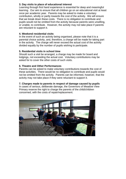#### **3. Day visits to place of educational interest**

Learning through first hand experience is essential for deep and meaningful learning. Our aim to ensure that all children go on an educational visit at least once per academic year. Parents may be asked to make a voluntary contribution, wholly or partly towards the cost of the activity. We will ensure that we break down these costs. There is no obligation to contribute and pupils would not be omitted from the activity because parents were unwilling, or unable, to contribute. However, the activity may not take place if parents are reluctant to support it.

#### **4. Weekend residential visits**

In the event of such an activity being organised, please note that it is a parental choice activity, and, therefore, a charge will be made for taking part in the activity. The charge will never exceed the actual cost of the activity divided equally by the number of pupils wishing to participate.

#### **5. Residential visits in school time**

Should such a visit be arranged, a charge may be made for board and lodgings, not exceeding the actual cost. Voluntary contributions may be asked for to cover the other costs of such visits.

#### **6. Theatre and Other Performances**

Parents can be asked to make voluntary contributions towards the cost of these activities. There would be no obligation to contribute and pupils would not be omitted from the activity. Parents can be informed, however, that the activity may not take place if they were reluctant to support it.

#### **7. Charges made to parents in respect of damage caused by pupils**

In cases of serious, deliberate damage, the Governors of Meadow View Primary reserve the right to charge the parents of the child/children concerned, with the costs of repair/replacement.

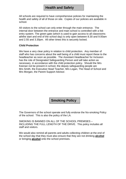## **Health and Safety**

All schools are required to have comprehensive policies for maintaining the health and safety of all of those on site. Copies of our policies are available in school.

All visitors to the school can only enter through the main entrance. The internal door between the entrance and main school is controlled with a fob entry system. The green gate (which is used to gain access to all classrooms aththe start and end of the school day) is only open between 8.30 and 9.00am and 2.55 and 3.30pm. All other times this is securely locked.

#### **Child Protection**

We have a very clear policy in relation to child protection. Any member of staff who has concerns about the well being of a child must report these to the headteacher as soon as possible. The Assistant Headteacher for Inclusion has the role of Designated Safeguarding Person and will take action as necessary, in accordance with the child protection policy. Should the Mrs Keenan not be present in school, the deputy safeguarding people are Mrs Smith, the Executive Head Teacher, Mrs Logan, The Head of School and Mrs Morgan, the Parent Support Advisor.

## **Smoking Policy**

The Governors of the school operate and fully endorse the No-smoking Policy of the school. This is also the policy of the LA.

SMOKING IS BANNED ON ALL OF THE SCHOOL PREMISES – INCLUDING THE FULL LENGTH OF THE DRIVE. This policy includes all staff and visitors.

We would also remind all parents and adults collecting children at the end of the school day that they must also ensure that they are not drinking **alcohol** or bringing **alcohol** onto the school premises.